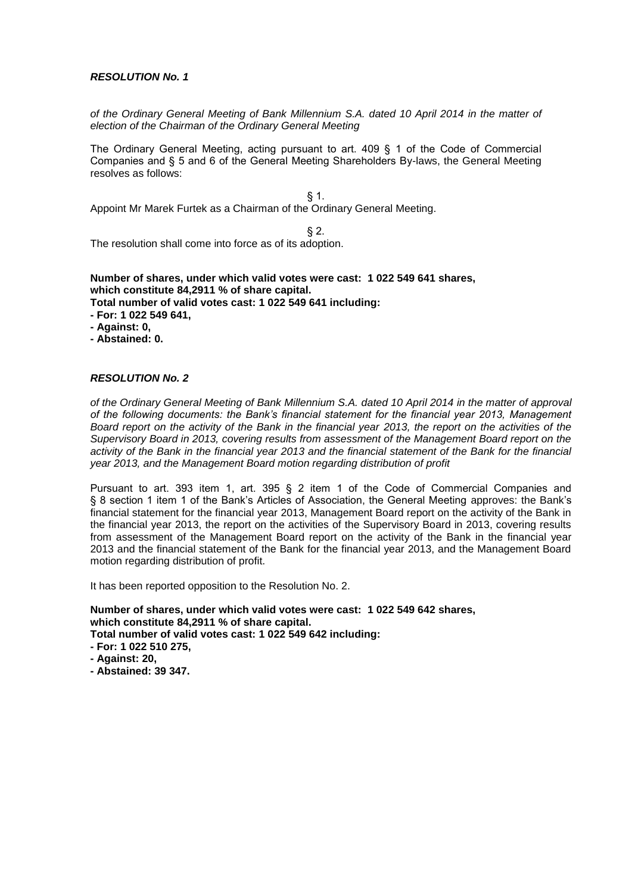*of the Ordinary General Meeting of Bank Millennium S.A. dated 10 April 2014 in the matter of election of the Chairman of the Ordinary General Meeting*

The Ordinary General Meeting, acting pursuant to art. 409 § 1 of the Code of Commercial Companies and § 5 and 6 of the General Meeting Shareholders By-laws, the General Meeting resolves as follows:

§ 1.

Appoint Mr Marek Furtek as a Chairman of the Ordinary General Meeting.

 $§$  2.

The resolution shall come into force as of its adoption.

**Number of shares, under which valid votes were cast: 1 022 549 641 shares, which constitute 84,2911 % of share capital.**

**Total number of valid votes cast: 1 022 549 641 including:**

**- For: 1 022 549 641,**

- **- Against: 0,**
- **- Abstained: 0.**

#### *RESOLUTION No. 2*

*of the Ordinary General Meeting of Bank Millennium S.A. dated 10 April 2014 in the matter of approval of the following documents: the Bank's financial statement for the financial year 2013, Management Board report on the activity of the Bank in the financial year 2013, the report on the activities of the Supervisory Board in 2013, covering results from assessment of the Management Board report on the activity of the Bank in the financial year 2013 and the financial statement of the Bank for the financial year 2013, and the Management Board motion regarding distribution of profit*

Pursuant to art. 393 item 1, art. 395 § 2 item 1 of the Code of Commercial Companies and § 8 section 1 item 1 of the Bank's Articles of Association, the General Meeting approves: the Bank's financial statement for the financial year 2013, Management Board report on the activity of the Bank in the financial year 2013, the report on the activities of the Supervisory Board in 2013, covering results from assessment of the Management Board report on the activity of the Bank in the financial year 2013 and the financial statement of the Bank for the financial year 2013, and the Management Board motion regarding distribution of profit.

It has been reported opposition to the Resolution No. 2.

**Number of shares, under which valid votes were cast: 1 022 549 642 shares, which constitute 84,2911 % of share capital. Total number of valid votes cast: 1 022 549 642 including: - For: 1 022 510 275,**

- **- Against: 20,**
- **- Abstained: 39 347.**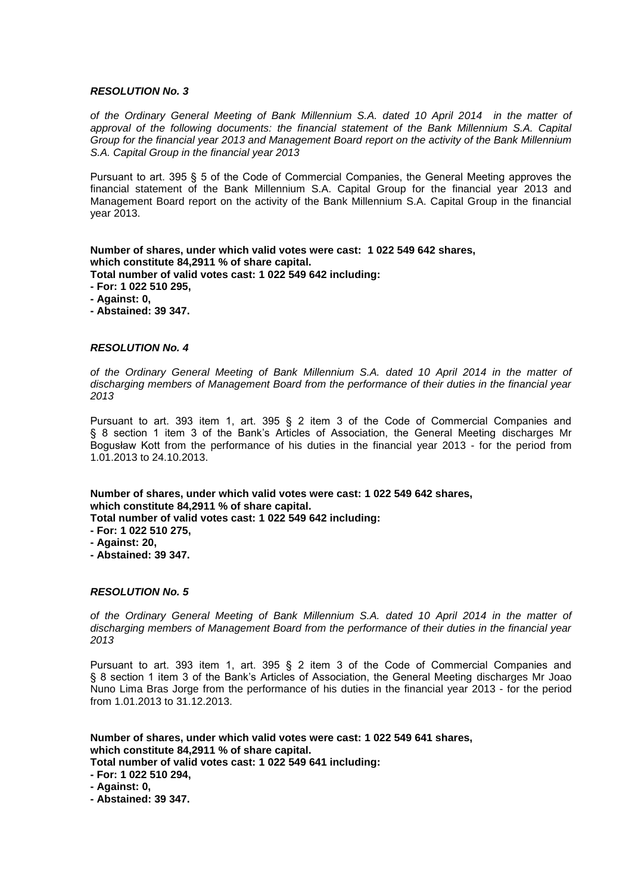*of the Ordinary General Meeting of Bank Millennium S.A. dated 10 April 2014 in the matter of approval of the following documents: the financial statement of the Bank Millennium S.A. Capital Group for the financial year 2013 and Management Board report on the activity of the Bank Millennium S.A. Capital Group in the financial year 2013*

Pursuant to art. 395 § 5 of the Code of Commercial Companies, the General Meeting approves the financial statement of the Bank Millennium S.A. Capital Group for the financial year 2013 and Management Board report on the activity of the Bank Millennium S.A. Capital Group in the financial year 2013.

**Number of shares, under which valid votes were cast: 1 022 549 642 shares, which constitute 84,2911 % of share capital.**

**Total number of valid votes cast: 1 022 549 642 including:**

- **- For: 1 022 510 295,**
- **- Against: 0,**
- **- Abstained: 39 347.**

#### *RESOLUTION No. 4*

*of the Ordinary General Meeting of Bank Millennium S.A. dated 10 April 2014 in the matter of discharging members of Management Board from the performance of their duties in the financial year 2013*

Pursuant to art. 393 item 1, art. 395 § 2 item 3 of the Code of Commercial Companies and § 8 section 1 item 3 of the Bank's Articles of Association, the General Meeting discharges Mr Bogusław Kott from the performance of his duties in the financial year 2013 - for the period from 1.01.2013 to 24.10.2013.

**Number of shares, under which valid votes were cast: 1 022 549 642 shares, which constitute 84,2911 % of share capital.**

**Total number of valid votes cast: 1 022 549 642 including:**

- **- For: 1 022 510 275,**
- **- Against: 20,**
- **- Abstained: 39 347.**

#### *RESOLUTION No. 5*

*of the Ordinary General Meeting of Bank Millennium S.A. dated 10 April 2014 in the matter of discharging members of Management Board from the performance of their duties in the financial year 2013*

Pursuant to art. 393 item 1, art. 395 § 2 item 3 of the Code of Commercial Companies and § 8 section 1 item 3 of the Bank's Articles of Association, the General Meeting discharges Mr Joao Nuno Lima Bras Jorge from the performance of his duties in the financial year 2013 - for the period from 1.01.2013 to 31.12.2013.

**Number of shares, under which valid votes were cast: 1 022 549 641 shares, which constitute 84,2911 % of share capital.**

**Total number of valid votes cast: 1 022 549 641 including:**

**- For: 1 022 510 294,**

**- Against: 0,**

**- Abstained: 39 347.**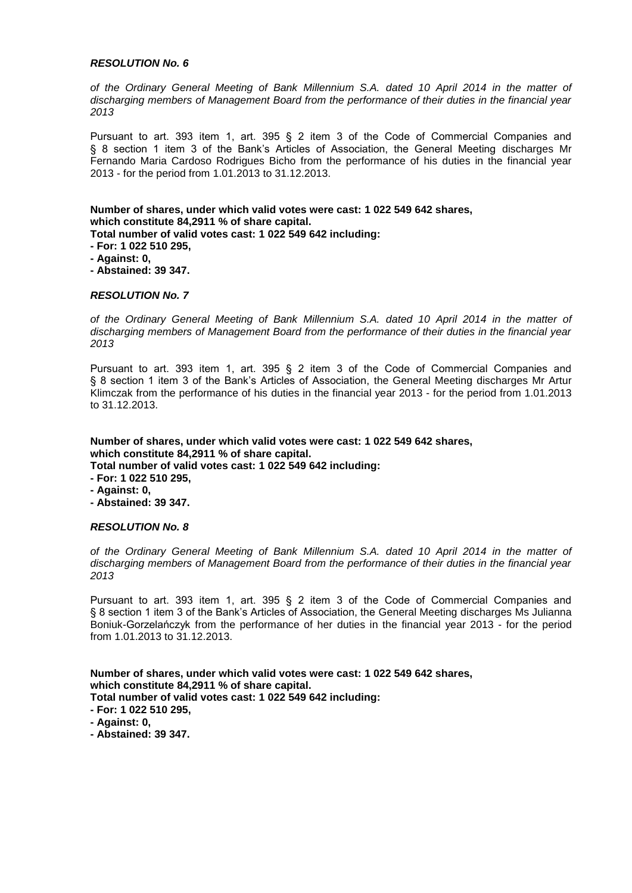*of the Ordinary General Meeting of Bank Millennium S.A. dated 10 April 2014 in the matter of discharging members of Management Board from the performance of their duties in the financial year 2013*

Pursuant to art. 393 item 1, art. 395 § 2 item 3 of the Code of Commercial Companies and § 8 section 1 item 3 of the Bank's Articles of Association, the General Meeting discharges Mr Fernando Maria Cardoso Rodrigues Bicho from the performance of his duties in the financial year 2013 - for the period from 1.01.2013 to 31.12.2013.

**Number of shares, under which valid votes were cast: 1 022 549 642 shares, which constitute 84,2911 % of share capital.**

**Total number of valid votes cast: 1 022 549 642 including:**

- **- For: 1 022 510 295,**
- **- Against: 0,**
- **- Abstained: 39 347.**

### *RESOLUTION No. 7*

*of the Ordinary General Meeting of Bank Millennium S.A. dated 10 April 2014 in the matter of discharging members of Management Board from the performance of their duties in the financial year 2013*

Pursuant to art. 393 item 1, art. 395 § 2 item 3 of the Code of Commercial Companies and § 8 section 1 item 3 of the Bank's Articles of Association, the General Meeting discharges Mr Artur Klimczak from the performance of his duties in the financial year 2013 - for the period from 1.01.2013 to 31.12.2013.

# **Number of shares, under which valid votes were cast: 1 022 549 642 shares, which constitute 84,2911 % of share capital.**

**Total number of valid votes cast: 1 022 549 642 including:**

- **- For: 1 022 510 295,**
- **- Against: 0,**
- **- Abstained: 39 347.**

#### *RESOLUTION No. 8*

*of the Ordinary General Meeting of Bank Millennium S.A. dated 10 April 2014 in the matter of discharging members of Management Board from the performance of their duties in the financial year 2013*

Pursuant to art. 393 item 1, art. 395 § 2 item 3 of the Code of Commercial Companies and § 8 section 1 item 3 of the Bank's Articles of Association, the General Meeting discharges Ms Julianna Boniuk-Gorzelańczyk from the performance of her duties in the financial year 2013 - for the period from 1.01.2013 to 31.12.2013.

**Number of shares, under which valid votes were cast: 1 022 549 642 shares, which constitute 84,2911 % of share capital. Total number of valid votes cast: 1 022 549 642 including:**

- **- For: 1 022 510 295,**
- **- Against: 0,**
- **- Abstained: 39 347.**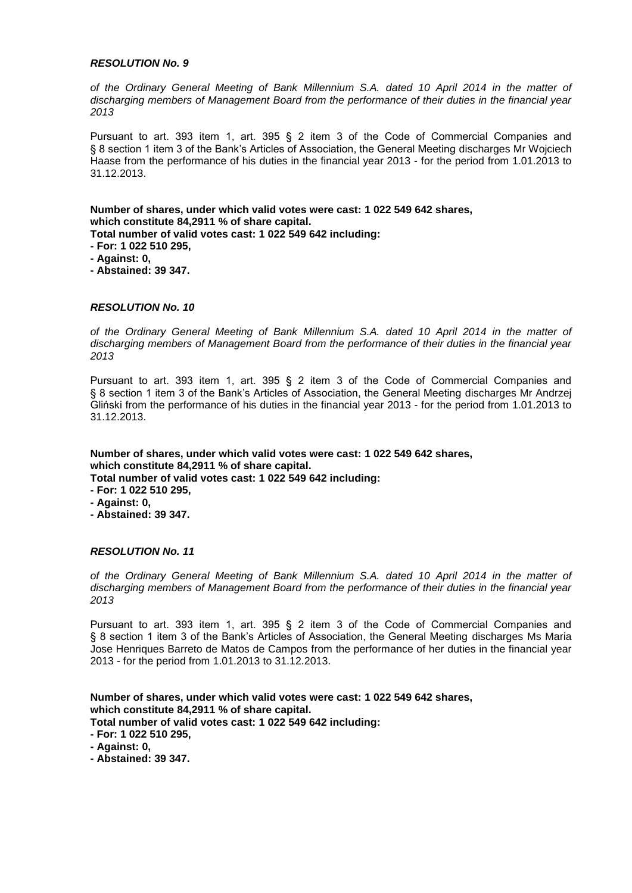*of the Ordinary General Meeting of Bank Millennium S.A. dated 10 April 2014 in the matter of discharging members of Management Board from the performance of their duties in the financial year 2013*

Pursuant to art. 393 item 1, art. 395 § 2 item 3 of the Code of Commercial Companies and § 8 section 1 item 3 of the Bank's Articles of Association, the General Meeting discharges Mr Wojciech Haase from the performance of his duties in the financial year 2013 - for the period from 1.01.2013 to 31.12.2013.

**Number of shares, under which valid votes were cast: 1 022 549 642 shares, which constitute 84,2911 % of share capital.**

**Total number of valid votes cast: 1 022 549 642 including:**

- **- For: 1 022 510 295,**
- **- Against: 0,**
- **- Abstained: 39 347.**

# *RESOLUTION No. 10*

*of the Ordinary General Meeting of Bank Millennium S.A. dated 10 April 2014 in the matter of discharging members of Management Board from the performance of their duties in the financial year 2013*

Pursuant to art. 393 item 1, art. 395 § 2 item 3 of the Code of Commercial Companies and § 8 section 1 item 3 of the Bank's Articles of Association, the General Meeting discharges Mr Andrzei Gliński from the performance of his duties in the financial year 2013 - for the period from 1.01.2013 to 31.12.2013.

**Number of shares, under which valid votes were cast: 1 022 549 642 shares, which constitute 84,2911 % of share capital. Total number of valid votes cast: 1 022 549 642 including:**

- **- For: 1 022 510 295,**
- **- Against: 0,**
- **- Abstained: 39 347.**

# *RESOLUTION No. 11*

*of the Ordinary General Meeting of Bank Millennium S.A. dated 10 April 2014 in the matter of discharging members of Management Board from the performance of their duties in the financial year 2013*

Pursuant to art. 393 item 1, art. 395 § 2 item 3 of the Code of Commercial Companies and § 8 section 1 item 3 of the Bank's Articles of Association, the General Meeting discharges Ms Maria Jose Henriques Barreto de Matos de Campos from the performance of her duties in the financial year 2013 - for the period from 1.01.2013 to 31.12.2013.

**Number of shares, under which valid votes were cast: 1 022 549 642 shares, which constitute 84,2911 % of share capital.**

**Total number of valid votes cast: 1 022 549 642 including:**

- **- For: 1 022 510 295,**
- **- Against: 0,**
- **- Abstained: 39 347.**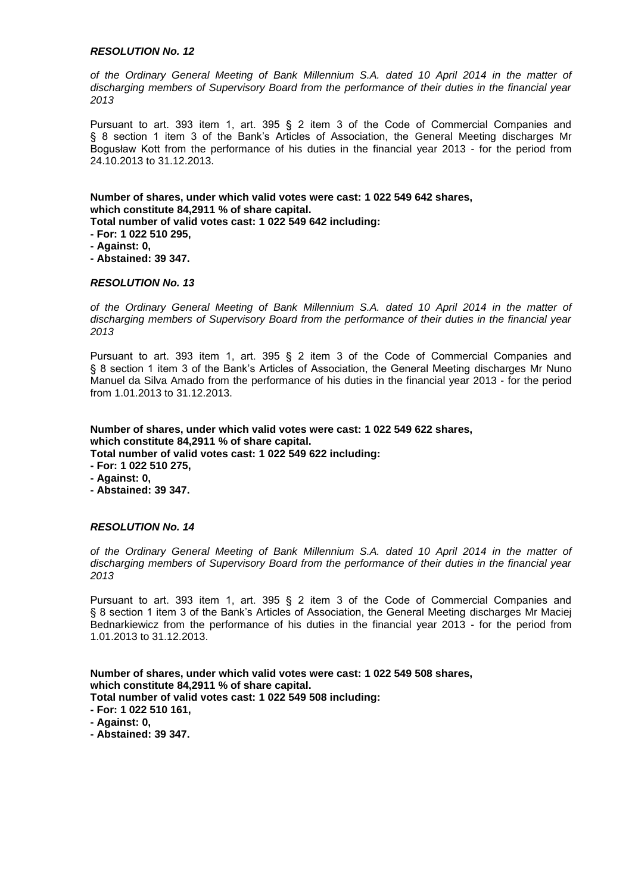*of the Ordinary General Meeting of Bank Millennium S.A. dated 10 April 2014 in the matter of discharging members of Supervisory Board from the performance of their duties in the financial year 2013*

Pursuant to art. 393 item 1, art. 395 § 2 item 3 of the Code of Commercial Companies and § 8 section 1 item 3 of the Bank's Articles of Association, the General Meeting discharges Mr Bogusław Kott from the performance of his duties in the financial year 2013 - for the period from 24.10.2013 to 31.12.2013.

**Number of shares, under which valid votes were cast: 1 022 549 642 shares, which constitute 84,2911 % of share capital.**

**Total number of valid votes cast: 1 022 549 642 including:**

- **- For: 1 022 510 295,**
- **- Against: 0,**
- **- Abstained: 39 347.**

#### *RESOLUTION No. 13*

*of the Ordinary General Meeting of Bank Millennium S.A. dated 10 April 2014 in the matter of discharging members of Supervisory Board from the performance of their duties in the financial year 2013*

Pursuant to art. 393 item 1, art. 395 § 2 item 3 of the Code of Commercial Companies and § 8 section 1 item 3 of the Bank's Articles of Association, the General Meeting discharges Mr Nuno Manuel da Silva Amado from the performance of his duties in the financial year 2013 - for the period from 1.01.2013 to 31.12.2013.

**Number of shares, under which valid votes were cast: 1 022 549 622 shares, which constitute 84,2911 % of share capital. Total number of valid votes cast: 1 022 549 622 including:**

- **- For: 1 022 510 275,**
- **- Against: 0,**
- **- Abstained: 39 347.**

## *RESOLUTION No. 14*

*of the Ordinary General Meeting of Bank Millennium S.A. dated 10 April 2014 in the matter of discharging members of Supervisory Board from the performance of their duties in the financial year 2013*

Pursuant to art. 393 item 1, art. 395 § 2 item 3 of the Code of Commercial Companies and § 8 section 1 item 3 of the Bank's Articles of Association, the General Meeting discharges Mr Maciej Bednarkiewicz from the performance of his duties in the financial year 2013 - for the period from 1.01.2013 to 31.12.2013.

**Number of shares, under which valid votes were cast: 1 022 549 508 shares, which constitute 84,2911 % of share capital. Total number of valid votes cast: 1 022 549 508 including:**

- **- For: 1 022 510 161,**
- **- Against: 0,**
- **- Abstained: 39 347.**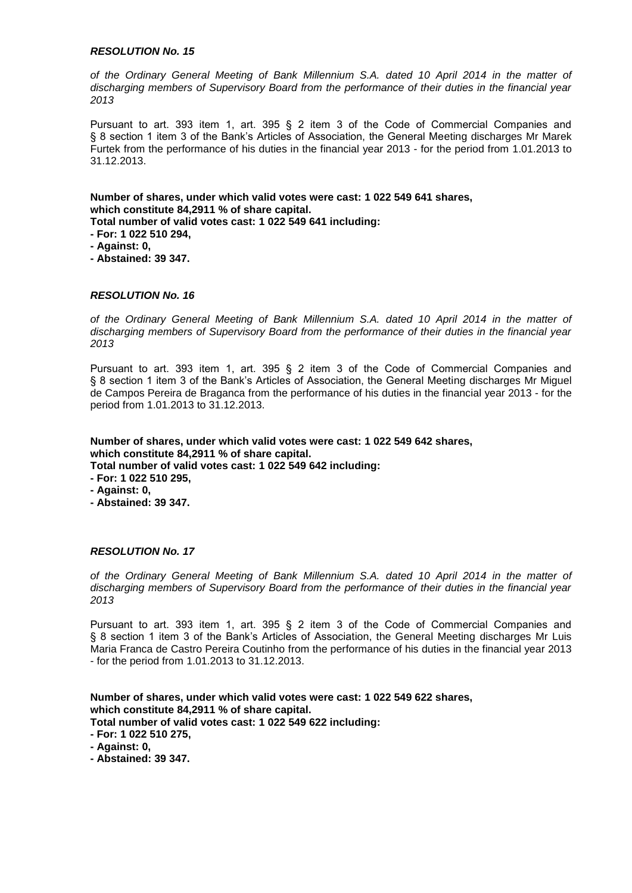*of the Ordinary General Meeting of Bank Millennium S.A. dated 10 April 2014 in the matter of discharging members of Supervisory Board from the performance of their duties in the financial year 2013*

Pursuant to art. 393 item 1, art. 395 § 2 item 3 of the Code of Commercial Companies and § 8 section 1 item 3 of the Bank's Articles of Association, the General Meeting discharges Mr Marek Furtek from the performance of his duties in the financial year 2013 - for the period from 1.01.2013 to 31.12.2013.

**Number of shares, under which valid votes were cast: 1 022 549 641 shares, which constitute 84,2911 % of share capital.**

**Total number of valid votes cast: 1 022 549 641 including:**

- **- For: 1 022 510 294,**
- **- Against: 0,**
- **- Abstained: 39 347.**

## *RESOLUTION No. 16*

*of the Ordinary General Meeting of Bank Millennium S.A. dated 10 April 2014 in the matter of discharging members of Supervisory Board from the performance of their duties in the financial year 2013*

Pursuant to art. 393 item 1, art. 395 § 2 item 3 of the Code of Commercial Companies and § 8 section 1 item 3 of the Bank's Articles of Association, the General Meeting discharges Mr Miguel de Campos Pereira de Braganca from the performance of his duties in the financial year 2013 - for the period from 1.01.2013 to 31.12.2013.

# **Number of shares, under which valid votes were cast: 1 022 549 642 shares, which constitute 84,2911 % of share capital.**

**Total number of valid votes cast: 1 022 549 642 including:**

- **- For: 1 022 510 295,**
- **- Against: 0,**
- **- Abstained: 39 347.**

## *RESOLUTION No. 17*

*of the Ordinary General Meeting of Bank Millennium S.A. dated 10 April 2014 in the matter of discharging members of Supervisory Board from the performance of their duties in the financial year 2013*

Pursuant to art. 393 item 1, art. 395 § 2 item 3 of the Code of Commercial Companies and § 8 section 1 item 3 of the Bank's Articles of Association, the General Meeting discharges Mr Luis Maria Franca de Castro Pereira Coutinho from the performance of his duties in the financial year 2013 - for the period from 1.01.2013 to 31.12.2013.

**Number of shares, under which valid votes were cast: 1 022 549 622 shares, which constitute 84,2911 % of share capital. Total number of valid votes cast: 1 022 549 622 including:**

**- For: 1 022 510 275,**

- **- Against: 0,**
- 
- **- Abstained: 39 347.**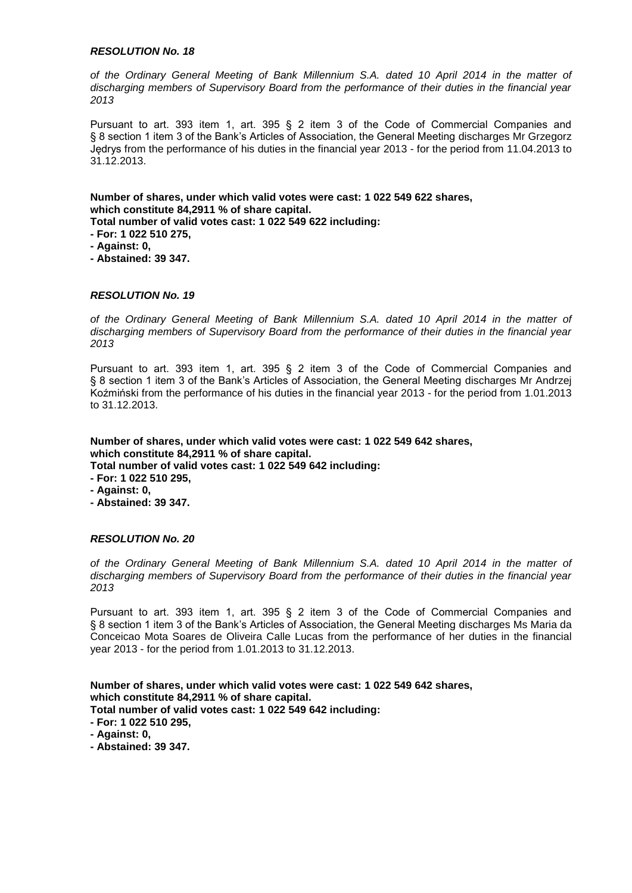*of the Ordinary General Meeting of Bank Millennium S.A. dated 10 April 2014 in the matter of discharging members of Supervisory Board from the performance of their duties in the financial year 2013*

Pursuant to art. 393 item 1, art. 395 § 2 item 3 of the Code of Commercial Companies and § 8 section 1 item 3 of the Bank's Articles of Association, the General Meeting discharges Mr Grzegorz Jędrys from the performance of his duties in the financial year 2013 - for the period from 11.04.2013 to 31.12.2013.

**Number of shares, under which valid votes were cast: 1 022 549 622 shares, which constitute 84,2911 % of share capital.**

**Total number of valid votes cast: 1 022 549 622 including:**

- **- For: 1 022 510 275,**
- **- Against: 0,**
- **- Abstained: 39 347.**

## *RESOLUTION No. 19*

*of the Ordinary General Meeting of Bank Millennium S.A. dated 10 April 2014 in the matter of discharging members of Supervisory Board from the performance of their duties in the financial year 2013*

Pursuant to art. 393 item 1, art. 395 § 2 item 3 of the Code of Commercial Companies and § 8 section 1 item 3 of the Bank's Articles of Association, the General Meeting discharges Mr Andrzej Koźmiński from the performance of his duties in the financial year 2013 - for the period from 1.01.2013 to 31.12.2013.

**Number of shares, under which valid votes were cast: 1 022 549 642 shares, which constitute 84,2911 % of share capital.**

**Total number of valid votes cast: 1 022 549 642 including:**

- **- For: 1 022 510 295,**
- **- Against: 0,**
- **- Abstained: 39 347.**

## *RESOLUTION No. 20*

*of the Ordinary General Meeting of Bank Millennium S.A. dated 10 April 2014 in the matter of discharging members of Supervisory Board from the performance of their duties in the financial year 2013*

Pursuant to art. 393 item 1, art. 395 § 2 item 3 of the Code of Commercial Companies and § 8 section 1 item 3 of the Bank's Articles of Association, the General Meeting discharges Ms Maria da Conceicao Mota Soares de Oliveira Calle Lucas from the performance of her duties in the financial year 2013 - for the period from 1.01.2013 to 31.12.2013.

**Number of shares, under which valid votes were cast: 1 022 549 642 shares, which constitute 84,2911 % of share capital.**

**Total number of valid votes cast: 1 022 549 642 including:**

- **- For: 1 022 510 295,**
- **- Against: 0,**
- **- Abstained: 39 347.**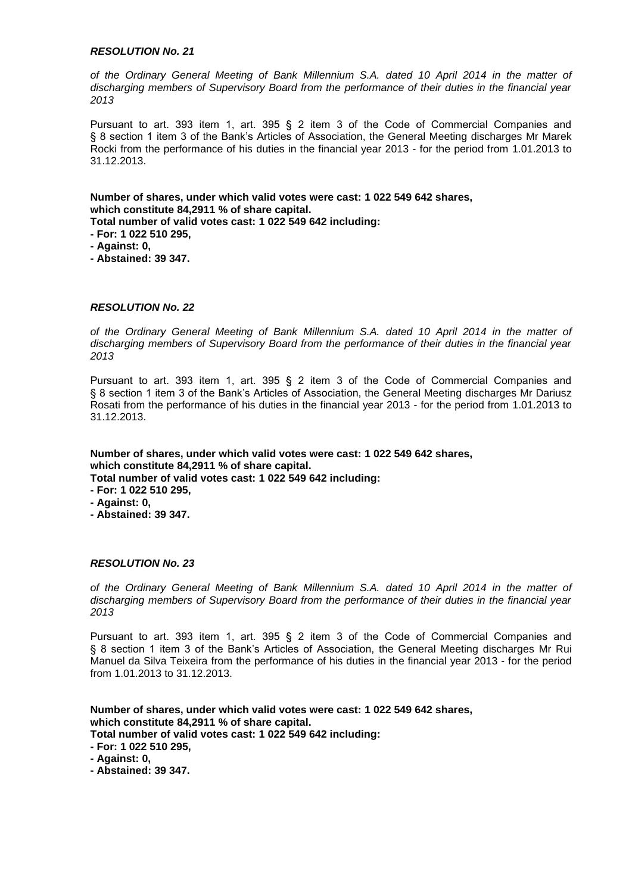*of the Ordinary General Meeting of Bank Millennium S.A. dated 10 April 2014 in the matter of discharging members of Supervisory Board from the performance of their duties in the financial year 2013*

Pursuant to art. 393 item 1, art. 395 § 2 item 3 of the Code of Commercial Companies and § 8 section 1 item 3 of the Bank's Articles of Association, the General Meeting discharges Mr Marek Rocki from the performance of his duties in the financial year 2013 - for the period from 1.01.2013 to 31.12.2013.

**Number of shares, under which valid votes were cast: 1 022 549 642 shares, which constitute 84,2911 % of share capital.**

**Total number of valid votes cast: 1 022 549 642 including:**

- **- For: 1 022 510 295,**
- **- Against: 0,**
- **- Abstained: 39 347.**

# *RESOLUTION No. 22*

*of the Ordinary General Meeting of Bank Millennium S.A. dated 10 April 2014 in the matter of discharging members of Supervisory Board from the performance of their duties in the financial year 2013*

Pursuant to art. 393 item 1, art. 395 § 2 item 3 of the Code of Commercial Companies and § 8 section 1 item 3 of the Bank's Articles of Association, the General Meeting discharges Mr Dariusz Rosati from the performance of his duties in the financial year 2013 - for the period from 1.01.2013 to 31.12.2013.

**Number of shares, under which valid votes were cast: 1 022 549 642 shares, which constitute 84,2911 % of share capital. Total number of valid votes cast: 1 022 549 642 including:**

- **- For: 1 022 510 295,**
- **- Against: 0,**
- **- Abstained: 39 347.**

### *RESOLUTION No. 23*

*of the Ordinary General Meeting of Bank Millennium S.A. dated 10 April 2014 in the matter of discharging members of Supervisory Board from the performance of their duties in the financial year 2013*

Pursuant to art. 393 item 1, art. 395 § 2 item 3 of the Code of Commercial Companies and § 8 section 1 item 3 of the Bank's Articles of Association, the General Meeting discharges Mr Rui Manuel da Silva Teixeira from the performance of his duties in the financial year 2013 - for the period from 1.01.2013 to 31.12.2013.

**Number of shares, under which valid votes were cast: 1 022 549 642 shares, which constitute 84,2911 % of share capital. Total number of valid votes cast: 1 022 549 642 including:**

- **- For: 1 022 510 295,**
- **- Against: 0,**
- **- Abstained: 39 347.**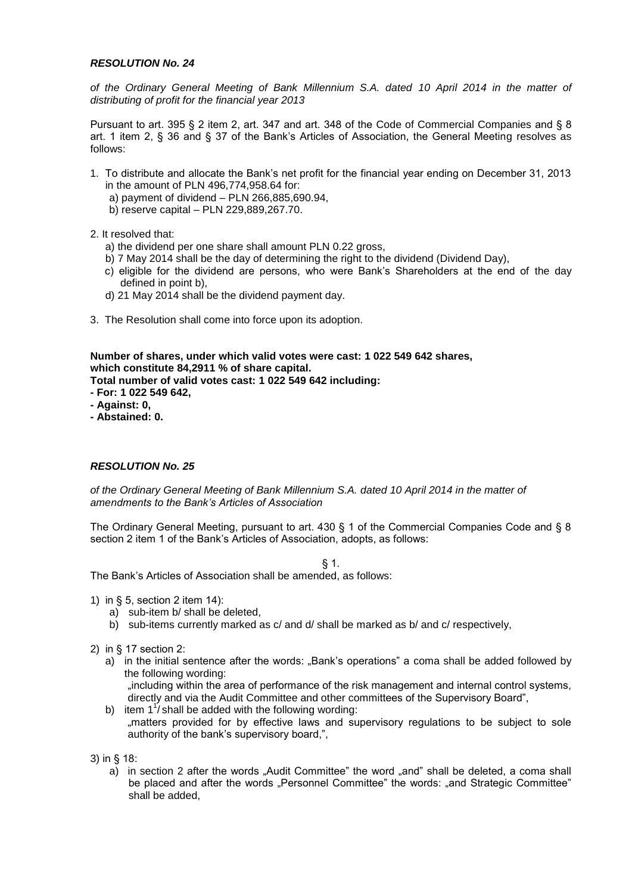*of the Ordinary General Meeting of Bank Millennium S.A. dated 10 April 2014 in the matter of distributing of profit for the financial year 2013*

Pursuant to art. 395 § 2 item 2, art. 347 and art. 348 of the Code of Commercial Companies and § 8 art. 1 item 2, § 36 and § 37 of the Bank's Articles of Association, the General Meeting resolves as follows:

- 1. To distribute and allocate the Bank's net profit for the financial year ending on December 31, 2013 in the amount of PLN 496,774,958.64 for:
	- a) payment of dividend PLN 266,885,690.94,
	- b) reserve capital PLN 229,889,267.70.
- 2. It resolved that:
	- a) the dividend per one share shall amount PLN 0.22 gross,
	- b) 7 May 2014 shall be the day of determining the right to the dividend (Dividend Day),
	- c) eligible for the dividend are persons, who were Bank's Shareholders at the end of the day defined in point b),
	- d) 21 May 2014 shall be the dividend payment day.
- 3. The Resolution shall come into force upon its adoption.

**Number of shares, under which valid votes were cast: 1 022 549 642 shares, which constitute 84,2911 % of share capital. Total number of valid votes cast: 1 022 549 642 including:**

- **- For: 1 022 549 642,**
- **- Against: 0,**
- **- Abstained: 0.**

## *RESOLUTION No. 25*

*of the Ordinary General Meeting of Bank Millennium S.A. dated 10 April 2014 in the matter of amendments to the Bank's Articles of Association*

The Ordinary General Meeting, pursuant to art. 430 § 1 of the Commercial Companies Code and § 8 section 2 item 1 of the Bank's Articles of Association, adopts, as follows:

§ 1.

The Bank's Articles of Association shall be amended, as follows:

- 1) in § 5, section 2 item 14):
	- a) sub-item b/ shall be deleted,
	- b) sub-items currently marked as c/ and d/ shall be marked as b/ and c/ respectively,
- 2) in § 17 section 2:
	- a) in the initial sentence after the words: "Bank's operations" a coma shall be added followed by the following wording: "including within the area of performance of the risk management and internal control systems,

directly and via the Audit Committee and other committees of the Supervisory Board",

- b) item  $1^{17}$  shall be added with the following wording: "matters provided for by effective laws and supervisory regulations to be subject to sole authority of the bank's supervisory board,",
- 3) in § 18:
	- a) in section 2 after the words "Audit Committee" the word "and" shall be deleted, a coma shall be placed and after the words "Personnel Committee" the words: "and Strategic Committee" shall be added,